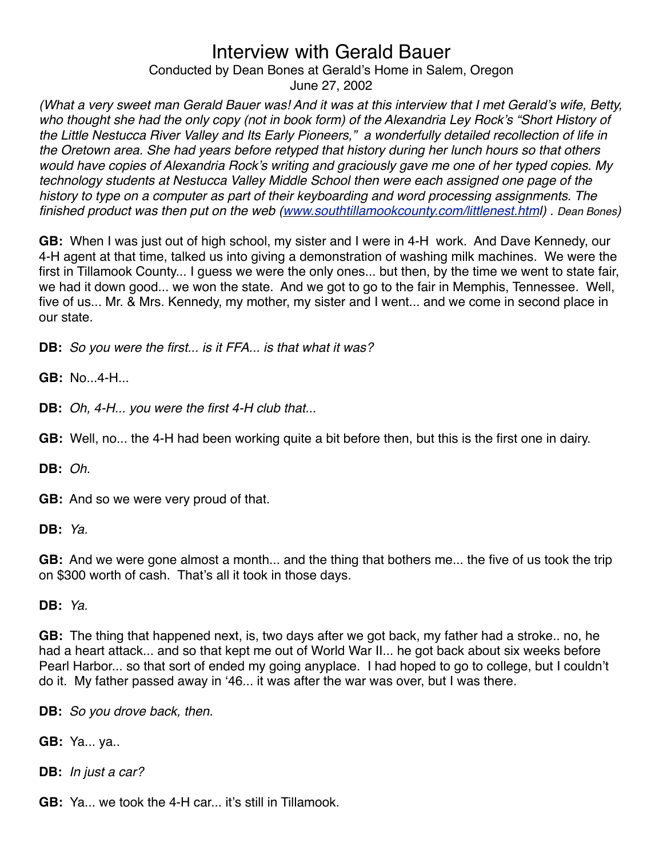Conducted by Dean Bones at Gerald's Home in Salem, Oregon June 27, 2002

*(What a very sweet man Gerald Bauer was! And it was at this interview that I met Gerald*'*s wife, Betty, who thought she had the only copy (not in book form) of the Alexandria Ley Rock*'*s "Short History of the Little Nestucca River Valley and Its Early Pioneers," a wonderfully detailed recollection of life in the Oretown area. She had years before retyped that history during her lunch hours so that others would have copies of Alexandria Rock*'*s writing and graciously gave me one of her typed copies. My technology students at Nestucca Valley Middle School then were each assigned one page of the history to type on a computer as part of their keyboarding and word processing assignments. The finished product was then put on the web [\(www.southtillamookcounty.com/littlenest.htm](http://www.southtillamookcounty.com/littlenest.htm)l) . Dean Bones)*

**GB:** When I was just out of high school, my sister and I were in 4-H work. And Dave Kennedy, our 4-H agent at that time, talked us into giving a demonstration of washing milk machines. We were the first in Tillamook County... I guess we were the only ones... but then, by the time we went to state fair, we had it down good... we won the state. And we got to go to the fair in Memphis, Tennessee. Well, five of us... Mr. & Mrs. Kennedy, my mother, my sister and I went... and we come in second place in our state.

**DB:** *So you were the first... is it FFA... is that what it was?*

**GB:** No...4-H...

**DB:** *Oh, 4-H... you were the first 4-H club that...*

**GB:** Well, no... the 4-H had been working quite a bit before then, but this is the first one in dairy.

**DB:** *Oh.*

**GB:** And so we were very proud of that.

**DB:** *Ya.*

**GB:** And we were gone almost a month... and the thing that bothers me... the five of us took the trip on \$300 worth of cash. That's all it took in those days.

**DB:** *Ya.*

**GB:** The thing that happened next, is, two days after we got back, my father had a stroke.. no, he had a heart attack... and so that kept me out of World War II... he got back about six weeks before Pearl Harbor... so that sort of ended my going anyplace. I had hoped to go to college, but I couldn't do it. My father passed away in ʻ46... it was after the war was over, but I was there.

**DB:** *So you drove back, then.*

**GB:** Ya... ya..

**DB:** *In just a car?*

**GB:** Ya... we took the 4-H car... it's still in Tillamook.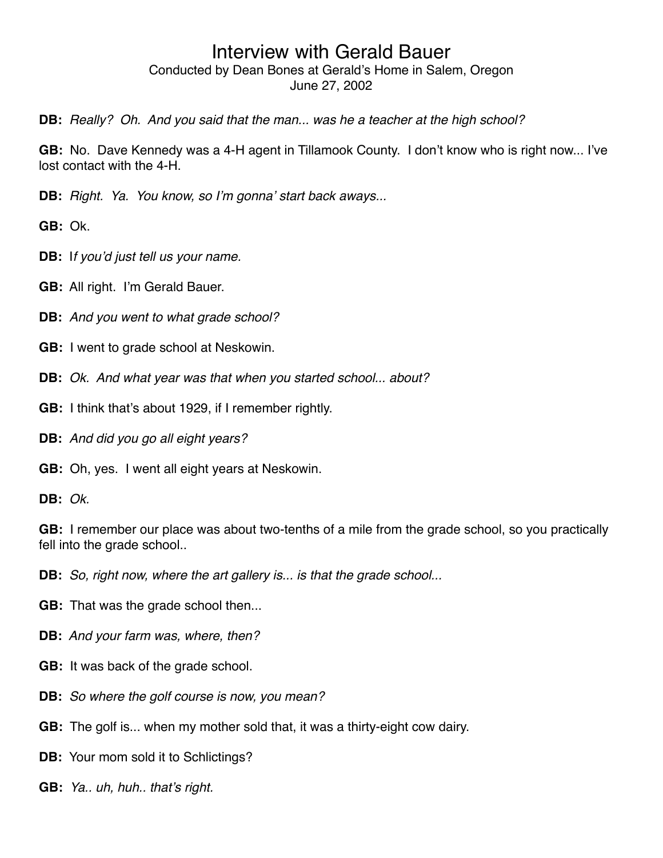**DB:** *Really? Oh. And you said that the man... was he a teacher at the high school?*

**GB:** No. Dave Kennedy was a 4-H agent in Tillamook County. I don't know who is right now... I've lost contact with the 4-H.

**DB:** *Right. Ya. You know, so I*'*m gonna*' *start back aways...* 

**GB:** Ok.

- **DB:** I*f you*'*d just tell us your name.*
- **GB:** All right. I'm Gerald Bauer.
- **DB:** *And you went to what grade school?*
- **GB:** I went to grade school at Neskowin.
- **DB:** *Ok. And what year was that when you started school... about?*
- **GB:** I think that's about 1929, if I remember rightly.
- **DB:** *And did you go all eight years?*
- **GB:** Oh, yes. I went all eight years at Neskowin.

**DB:** *Ok.*

**GB:** I remember our place was about two-tenths of a mile from the grade school, so you practically fell into the grade school..

**DB:** *So, right now, where the art gallery is... is that the grade school...*

- **GB:** That was the grade school then...
- **DB:** *And your farm was, where, then?*
- **GB:** It was back of the grade school.
- **DB:** *So where the golf course is now, you mean?*
- **GB:** The golf is... when my mother sold that, it was a thirty-eight cow dairy.

**DB:** Your mom sold it to Schlictings?

**GB:** *Ya.. uh, huh.. that*'*s right.*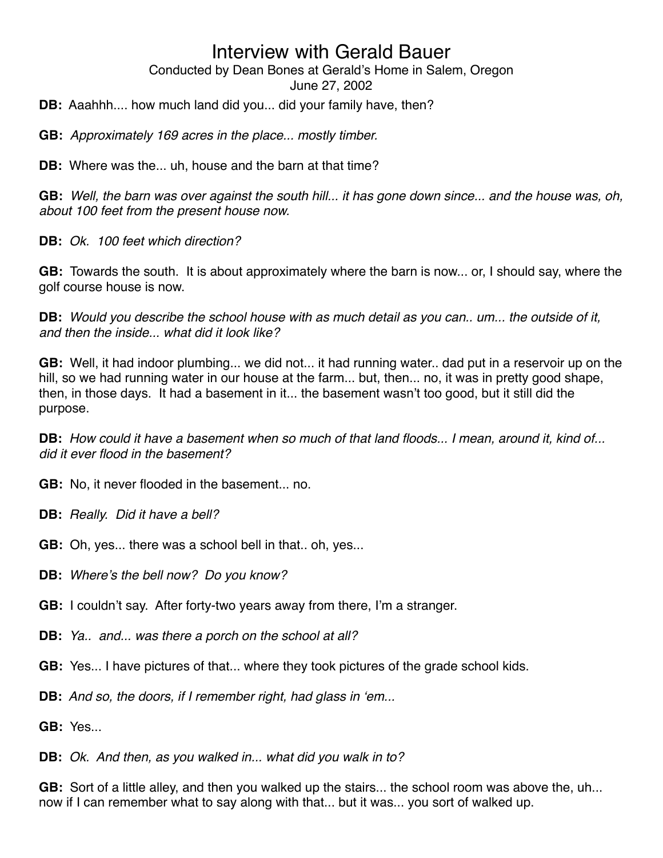Conducted by Dean Bones at Gerald's Home in Salem, Oregon

June 27, 2002

**DB:** Aaahhh.... how much land did you... did your family have, then?

**GB:** *Approximately 169 acres in the place... mostly timber.*

**DB:** Where was the... uh, house and the barn at that time?

**GB:** *Well, the barn was over against the south hill... it has gone down since... and the house was, oh, about 100 feet from the present house now.*

**DB:** *Ok. 100 feet which direction?*

**GB:** Towards the south. It is about approximately where the barn is now... or, I should say, where the golf course house is now.

**DB:** *Would you describe the school house with as much detail as you can.. um... the outside of it, and then the inside... what did it look like?*

**GB:** Well, it had indoor plumbing... we did not... it had running water.. dad put in a reservoir up on the hill, so we had running water in our house at the farm... but, then... no, it was in pretty good shape, then, in those days. It had a basement in it... the basement wasn't too good, but it still did the purpose.

**DB:** *How could it have a basement when so much of that land floods... I mean, around it, kind of... did it ever flood in the basement?*

**GB:** No, it never flooded in the basement... no.

- **DB:** *Really. Did it have a bell?*
- **GB:** Oh, yes... there was a school bell in that.. oh, yes...
- **DB:** *Where*'*s the bell now? Do you know?*
- **GB:** I couldn't say. After forty-two years away from there, I'm a stranger.
- **DB:** *Ya.. and... was there a porch on the school at all?*
- **GB:** Yes... I have pictures of that... where they took pictures of the grade school kids.
- **DB:** *And so, the doors, if I remember right, had glass in* ʻ*em...*

**GB:** Yes...

**DB:** *Ok. And then, as you walked in... what did you walk in to?*

**GB:** Sort of a little alley, and then you walked up the stairs... the school room was above the, uh... now if I can remember what to say along with that... but it was... you sort of walked up.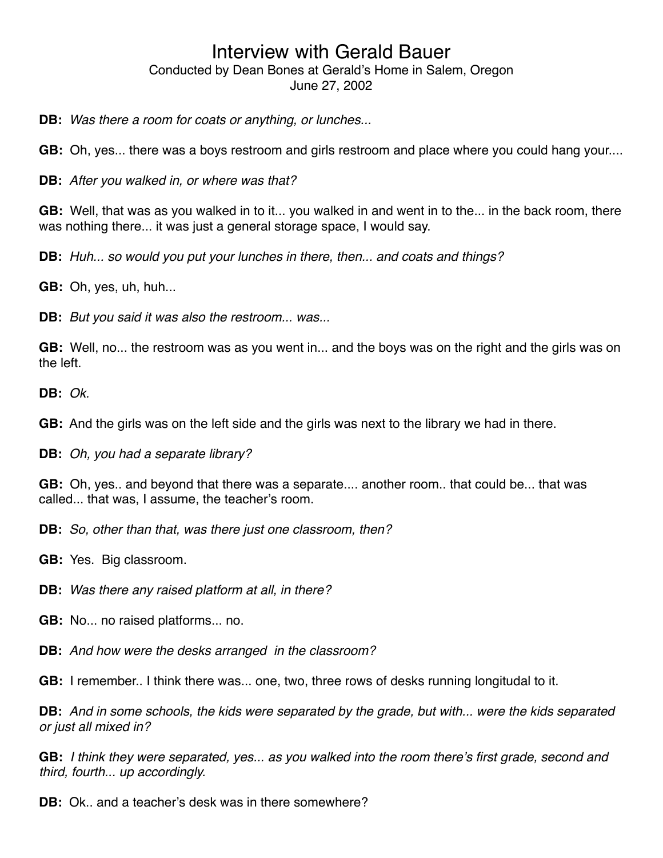**DB:** *Was there a room for coats or anything, or lunches...*

**GB:** Oh, yes... there was a boys restroom and girls restroom and place where you could hang your....

**DB:** *After you walked in, or where was that?*

**GB:** Well, that was as you walked in to it... you walked in and went in to the... in the back room, there was nothing there... it was just a general storage space, I would say.

**DB:** *Huh... so would you put your lunches in there, then... and coats and things?*

**GB:** Oh, yes, uh, huh...

**DB:** *But you said it was also the restroom... was...*

**GB:** Well, no... the restroom was as you went in... and the boys was on the right and the girls was on the left.

**DB:** *Ok.*

**GB:** And the girls was on the left side and the girls was next to the library we had in there.

**DB:** *Oh, you had a separate library?*

**GB:** Oh, yes.. and beyond that there was a separate.... another room.. that could be... that was called... that was, I assume, the teacher's room.

**DB:** *So, other than that, was there just one classroom, then?*

**GB:** Yes. Big classroom.

**DB:** *Was there any raised platform at all, in there?*

**GB:** No... no raised platforms... no.

**DB:** *And how were the desks arranged in the classroom?*

**GB:** I remember.. I think there was... one, two, three rows of desks running longitudal to it.

**DB:** *And in some schools, the kids were separated by the grade, but with... were the kids separated or just all mixed in?*

**GB:** *I think they were separated, yes... as you walked into the room there*'*s first grade, second and third, fourth... up accordingly.*

**DB:** Ok.. and a teacher's desk was in there somewhere?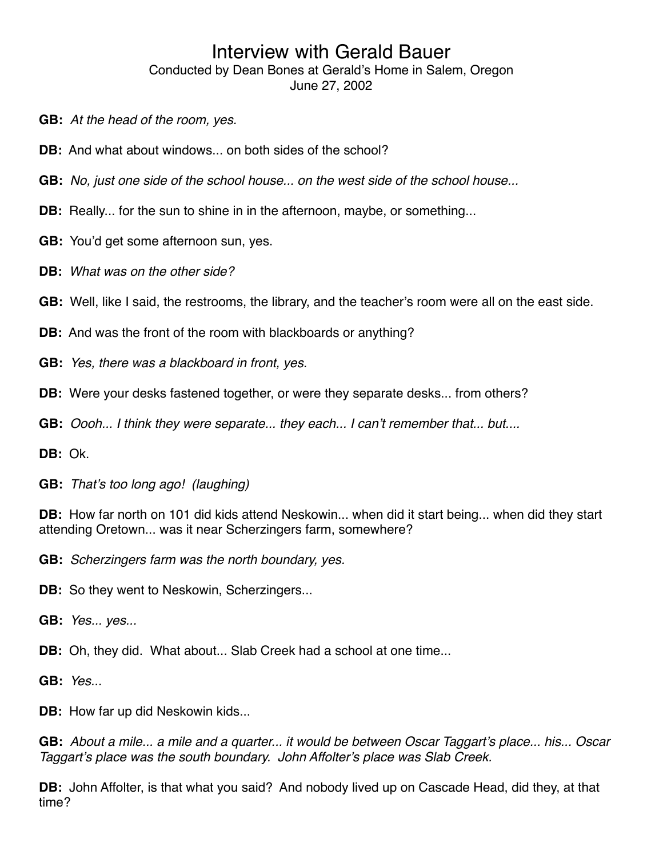- **GB:** *At the head of the room, yes.*
- **DB:** And what about windows... on both sides of the school?
- **GB:** *No, just one side of the school house... on the west side of the school house...*
- **DB:** Really... for the sun to shine in in the afternoon, maybe, or something...
- **GB:** You'd get some afternoon sun, yes.
- **DB:** *What was on the other side?*
- **GB:** Well, like I said, the restrooms, the library, and the teacher's room were all on the east side.
- **DB:** And was the front of the room with blackboards or anything?
- **GB:** *Yes, there was a blackboard in front, yes.*
- **DB:** Were your desks fastened together, or were they separate desks... from others?
- **GB:** *Oooh... I think they were separate... they each... I can*'*t remember that... but....*
- **DB:** Ok.
- **GB:** *That*'*s too long ago! (laughing)*
- **DB:** How far north on 101 did kids attend Neskowin... when did it start being... when did they start attending Oretown... was it near Scherzingers farm, somewhere?
- **GB:** *Scherzingers farm was the north boundary, yes.*
- **DB:** So they went to Neskowin, Scherzingers...
- **GB:** *Yes... yes...*
- **DB:** Oh, they did. What about... Slab Creek had a school at one time...
- **GB:** *Yes...*
- **DB:** How far up did Neskowin kids...

**GB:** *About a mile... a mile and a quarter... it would be between Oscar Taggart*'*s place... his... Oscar Taggart*'*s place was the south boundary. John Affolter*'*s place was Slab Creek.*

**DB:** John Affolter, is that what you said? And nobody lived up on Cascade Head, did they, at that time?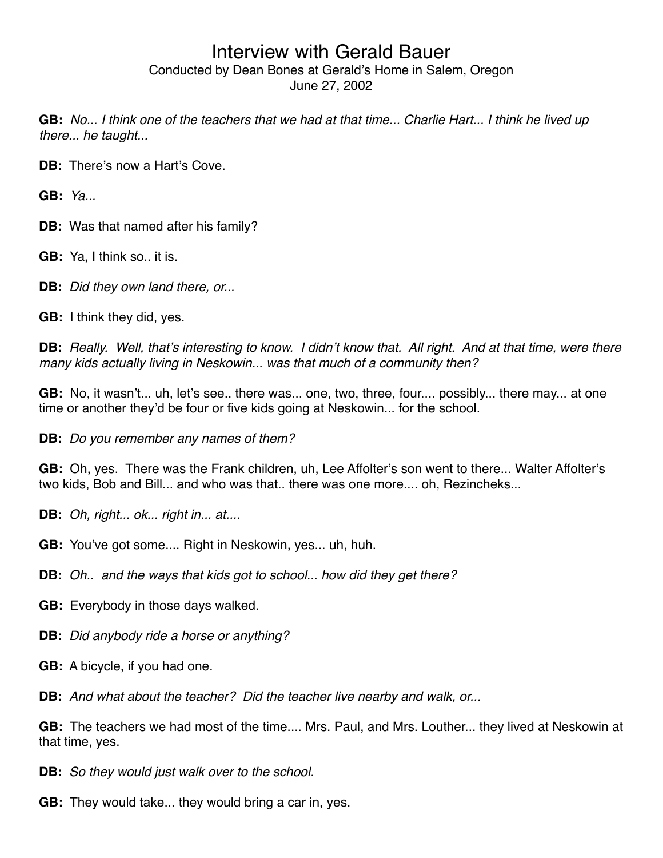**GB:** *No... I think one of the teachers that we had at that time... Charlie Hart... I think he lived up there... he taught...*

**DB:** There's now a Hart's Cove.

**GB:** *Ya...*

**DB:** Was that named after his family?

- **GB:** Ya, I think so.. it is.
- **DB:** *Did they own land there, or...*
- **GB:** I think they did, yes.

**DB:** *Really. Well, that*'*s interesting to know. I didn*'*t know that. All right. And at that time, were there many kids actually living in Neskowin... was that much of a community then?*

**GB:** No, it wasn't... uh, let's see.. there was... one, two, three, four.... possibly... there may... at one time or another they'd be four or five kids going at Neskowin... for the school.

**DB:** *Do you remember any names of them?*

**GB:** Oh, yes. There was the Frank children, uh, Lee Affolter's son went to there... Walter Affolter's two kids, Bob and Bill... and who was that.. there was one more.... oh, Rezincheks...

**DB:** *Oh, right... ok... right in... at....*

- **GB:** You've got some.... Right in Neskowin, yes... uh, huh.
- **DB:** *Oh.. and the ways that kids got to school... how did they get there?*
- **GB:** Everybody in those days walked.
- **DB:** *Did anybody ride a horse or anything?*
- **GB:** A bicycle, if you had one.

**DB:** *And what about the teacher? Did the teacher live nearby and walk, or...*

**GB:** The teachers we had most of the time.... Mrs. Paul, and Mrs. Louther... they lived at Neskowin at that time, yes.

**DB:** *So they would just walk over to the school.*

**GB:** They would take... they would bring a car in, yes.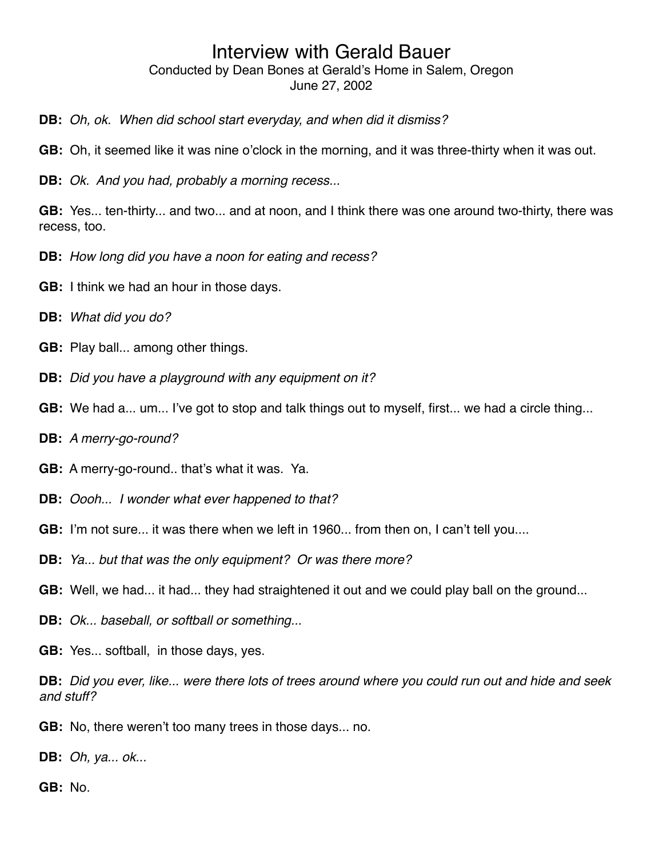# Conducted by Dean Bones at Gerald's Home in Salem, Oregon

June 27, 2002

- **DB:** *Oh, ok. When did school start everyday, and when did it dismiss?*
- **GB:** Oh, it seemed like it was nine o'clock in the morning, and it was three-thirty when it was out.
- **DB:** *Ok. And you had, probably a morning recess...*

**GB:** Yes... ten-thirty... and two... and at noon, and I think there was one around two-thirty, there was recess, too.

- **DB:** *How long did you have a noon for eating and recess?*
- **GB:** I think we had an hour in those days.
- **DB:** *What did you do?*
- **GB:** Play ball... among other things.
- **DB:** *Did you have a playground with any equipment on it?*
- **GB:** We had a... um... I've got to stop and talk things out to myself, first... we had a circle thing...
- **DB:** *A merry-go-round?*
- **GB:** A merry-go-round.. that's what it was. Ya.
- **DB:** *Oooh... I wonder what ever happened to that?*
- **GB:** I'm not sure... it was there when we left in 1960... from then on, I can't tell you....
- **DB:** *Ya... but that was the only equipment? Or was there more?*
- **GB:** Well, we had... it had... they had straightened it out and we could play ball on the ground...
- **DB:** *Ok... baseball, or softball or something...*
- **GB:** Yes... softball, in those days, yes.
- **DB:** *Did you ever, like... were there lots of trees around where you could run out and hide and seek and stuff?*
- **GB:** No, there weren't too many trees in those days... no.
- **DB:** *Oh, ya... ok...*

**GB:** No.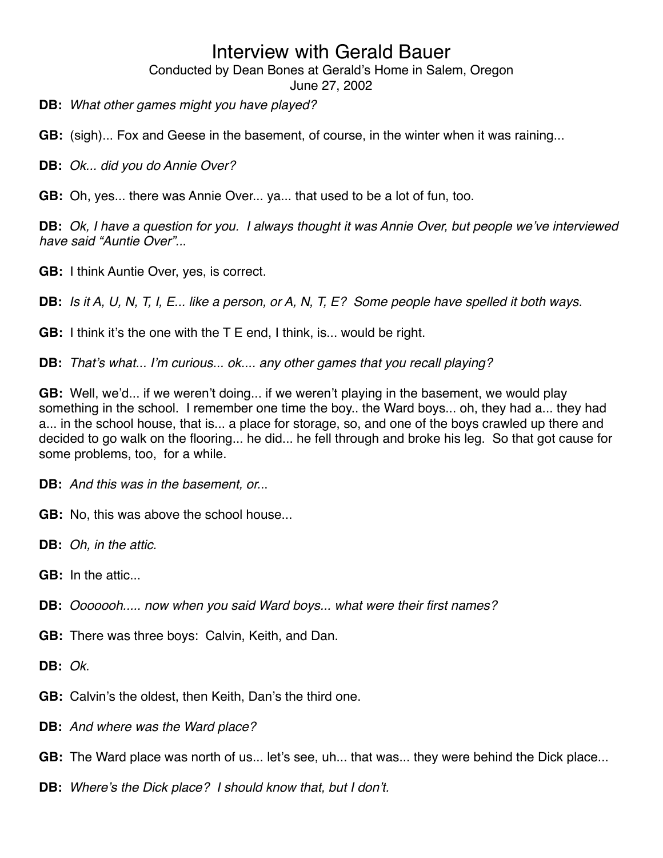Conducted by Dean Bones at Gerald's Home in Salem, Oregon

June 27, 2002

**DB:** *What other games might you have played?*

**GB:** (sigh)... Fox and Geese in the basement, of course, in the winter when it was raining...

**DB:** *Ok... did you do Annie Over?*

**GB:** Oh, yes... there was Annie Over... ya... that used to be a lot of fun, too.

**DB:** *Ok, I have a question for you. I always thought it was Annie Over, but people we*'*ve interviewed have said "Auntie Over"..*.

**GB:** I think Auntie Over, yes, is correct.

**DB:** *Is it A, U, N, T, I, E... like a person, or A, N, T, E? Some people have spelled it both ways.*

**GB:** I think it's the one with the T E end, I think, is... would be right.

**DB:** *That*'*s what... I*'*m curious... ok.... any other games that you recall playing?*

**GB:** Well, we'd... if we weren't doing... if we weren't playing in the basement, we would play something in the school. I remember one time the boy.. the Ward boys... oh, they had a... they had a... in the school house, that is... a place for storage, so, and one of the boys crawled up there and decided to go walk on the flooring... he did... he fell through and broke his leg. So that got cause for some problems, too, for a while.

**DB:** *And this was in the basement, or..*.

**GB:** No, this was above the school house...

**DB:** *Oh, in the attic.*

**GB:** In the attic.

**DB:** *Ooooooh..... now when you said Ward boys... what were their first names?*

**GB:** There was three boys: Calvin, Keith, and Dan.

**DB:** *Ok.*

**GB:** Calvin's the oldest, then Keith, Dan's the third one.

**DB:** *And where was the Ward place?*

**GB:** The Ward place was north of us... let's see, uh... that was... they were behind the Dick place...

**DB:** *Where*'*s the Dick place? I should know that, but I don*'*t.*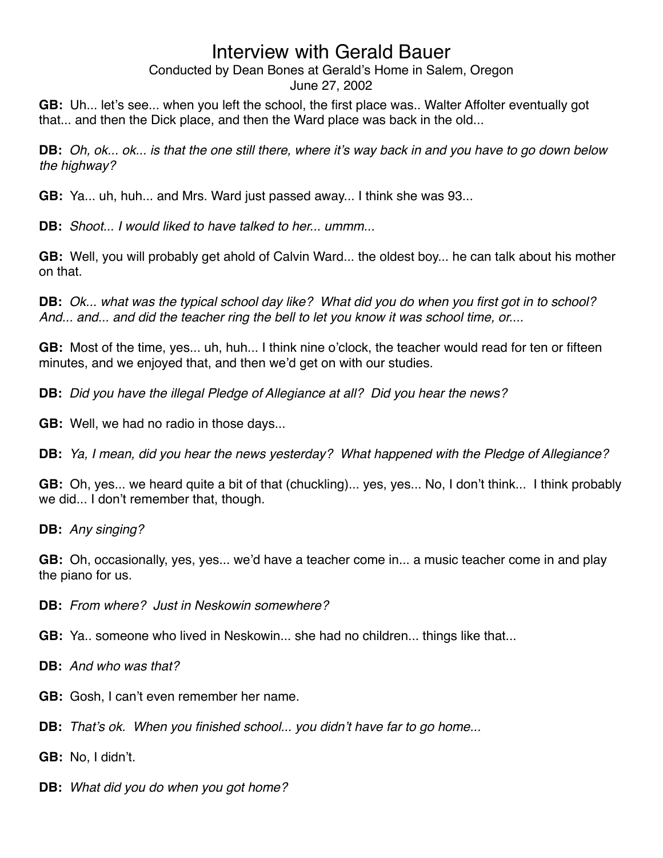# Conducted by Dean Bones at Gerald's Home in Salem, Oregon

June 27, 2002

**GB:** Uh... let's see... when you left the school, the first place was.. Walter Affolter eventually got that... and then the Dick place, and then the Ward place was back in the old...

**DB:** *Oh, ok... ok... is that the one still there, where it*'*s way back in and you have to go down below the highway?*

**GB:** Ya... uh, huh... and Mrs. Ward just passed away... I think she was 93...

**DB:** *Shoot... I would liked to have talked to her... ummm...*

**GB:** Well, you will probably get ahold of Calvin Ward... the oldest boy... he can talk about his mother on that.

**DB:** *Ok... what was the typical school day like? What did you do when you first got in to school? And... and... and did the teacher ring the bell to let you know it was school time, or....*

**GB:** Most of the time, yes... uh, huh... I think nine o'clock, the teacher would read for ten or fifteen minutes, and we enjoyed that, and then we'd get on with our studies.

**DB:** *Did you have the illegal Pledge of Allegiance at all? Did you hear the news?*

**GB:** Well, we had no radio in those days...

**DB:** *Ya, I mean, did you hear the news yesterday? What happened with the Pledge of Allegiance?*

**GB:** Oh, yes... we heard quite a bit of that (chuckling)... yes, yes... No, I don't think... I think probably we did... I don't remember that, though.

**DB:** *Any singing?*

**GB:** Oh, occasionally, yes, yes... we'd have a teacher come in... a music teacher come in and play the piano for us.

**DB:** *From where? Just in Neskowin somewhere?*

**GB:** Ya.. someone who lived in Neskowin... she had no children... things like that...

**DB:** *And who was that?*

- **GB:** Gosh, I can't even remember her name.
- **DB:** *That*'*s ok. When you finished school... you didn*'*t have far to go home...*

**GB:** No, I didn't.

**DB:** *What did you do when you got home?*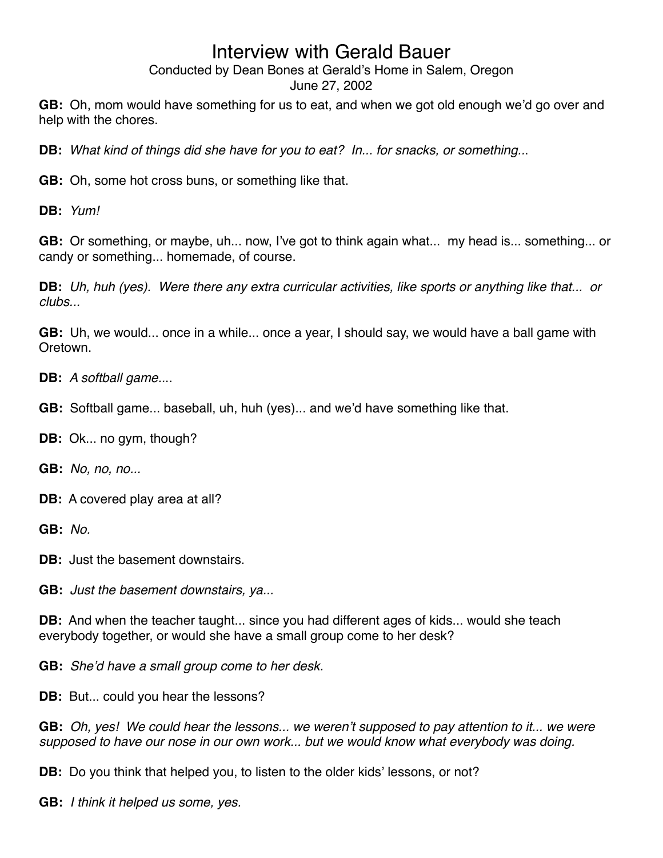Conducted by Dean Bones at Gerald's Home in Salem, Oregon

June 27, 2002

**GB:** Oh, mom would have something for us to eat, and when we got old enough we'd go over and help with the chores.

**DB:** *What kind of things did she have for you to eat? In... for snacks, or something..*.

**GB:** Oh, some hot cross buns, or something like that.

**DB:** *Yum!*

**GB:** Or something, or maybe, uh... now, I've got to think again what... my head is... something... or candy or something... homemade, of course.

**DB:** *Uh, huh (yes). Were there any extra curricular activities, like sports or anything like that... or clubs...*

**GB:** Uh, we would... once in a while... once a year, I should say, we would have a ball game with **Oretown** 

**DB:** *A softball game..*..

**GB:** Softball game... baseball, uh, huh (yes)... and we'd have something like that.

**DB:** Ok... no gym, though?

**GB:** *No, no, no...*

**DB:** A covered play area at all?

**GB:** *No.*

**DB:** Just the basement downstairs.

**GB:** *Just the basement downstairs, ya...*

**DB:** And when the teacher taught... since you had different ages of kids... would she teach everybody together, or would she have a small group come to her desk?

**GB:** *She*'*d have a small group come to her desk.*

**DB:** But... could you hear the lessons?

**GB:** *Oh, yes! We could hear the lessons... we weren*'*t supposed to pay attention to it... we were supposed to have our nose in our own work... but we would know what everybody was doing.*

**DB:** Do you think that helped you, to listen to the older kids' lessons, or not?

**GB:** *I think it helped us some, yes.*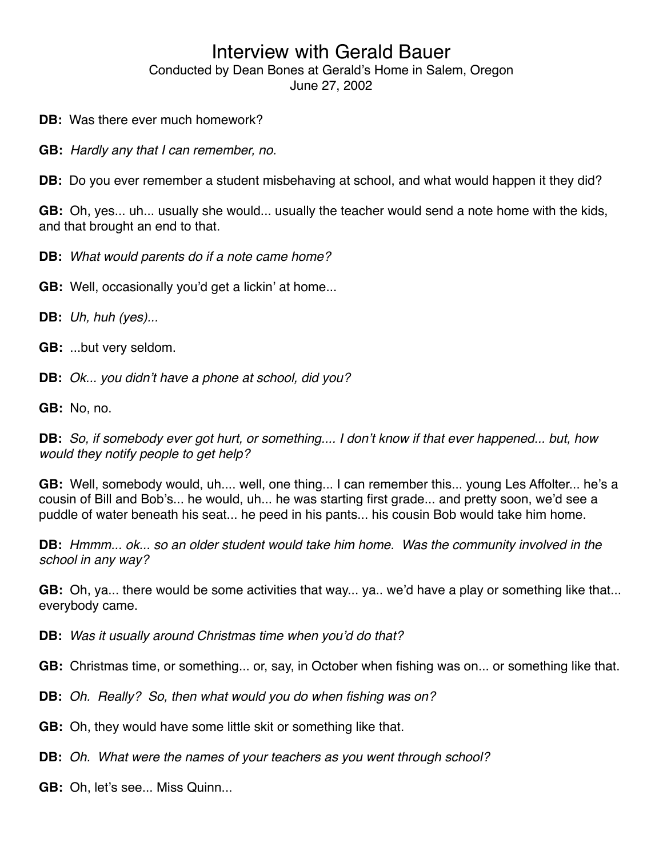- **DB:** Was there ever much homework?
- **GB:** *Hardly any that I can remember, no.*

**DB:** Do you ever remember a student misbehaving at school, and what would happen it they did?

**GB:** Oh, yes... uh... usually she would... usually the teacher would send a note home with the kids, and that brought an end to that.

**DB:** *What would parents do if a note came home?*

**GB:** Well, occasionally you'd get a lickin' at home...

**DB:** *Uh, huh (yes)...*

**GB:** ...but very seldom.

**DB:** *Ok... you didn*'*t have a phone at school, did you?*

**GB:** No, no.

**DB:** *So, if somebody ever got hurt, or something.... I don*'*t know if that ever happened... but, how would they notify people to get help?*

**GB:** Well, somebody would, uh.... well, one thing... I can remember this... young Les Affolter... he's a cousin of Bill and Bob's... he would, uh... he was starting first grade... and pretty soon, we'd see a puddle of water beneath his seat... he peed in his pants... his cousin Bob would take him home.

**DB:** *Hmmm... ok... so an older student would take him home. Was the community involved in the school in any way?*

**GB:** Oh, ya... there would be some activities that way... ya.. we'd have a play or something like that... everybody came.

**DB:** *Was it usually around Christmas time when you*'*d do that?*

**GB:** Christmas time, or something... or, say, in October when fishing was on... or something like that.

**DB:** *Oh. Really? So, then what would you do when fishing was on?*

**GB:** Oh, they would have some little skit or something like that.

**DB:** *Oh. What were the names of your teachers as you went through school?*

**GB:** Oh, let's see... Miss Quinn...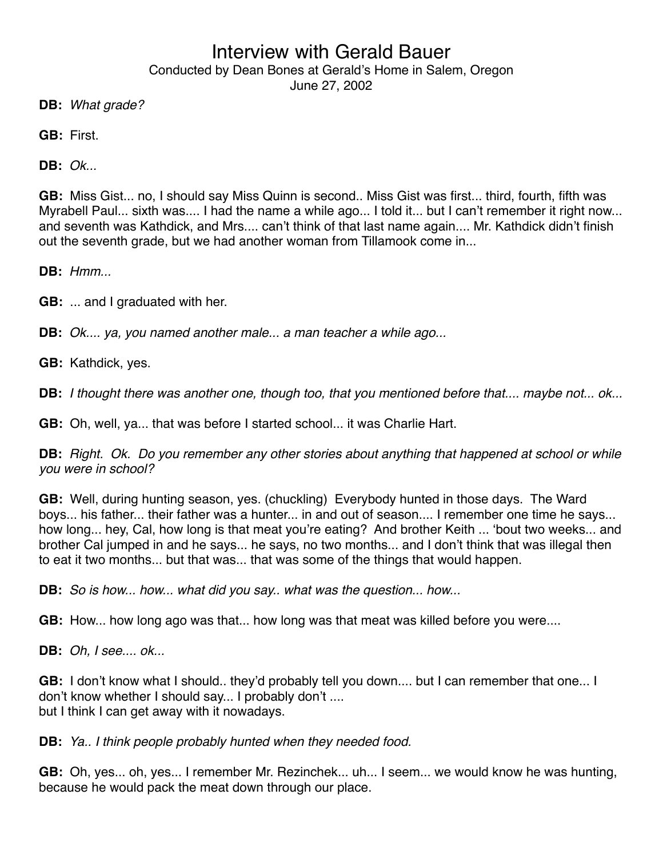Conducted by Dean Bones at Gerald's Home in Salem, Oregon

June 27, 2002

**DB:** *What grade?*

**GB:** First.

**DB:** *Ok...*

**GB:** Miss Gist... no, I should say Miss Quinn is second.. Miss Gist was first... third, fourth, fifth was Myrabell Paul... sixth was.... I had the name a while ago... I told it... but I can't remember it right now... and seventh was Kathdick, and Mrs.... can't think of that last name again.... Mr. Kathdick didn't finish out the seventh grade, but we had another woman from Tillamook come in...

**DB:** *Hmm...*

**GB:** ... and I graduated with her.

**DB:** *Ok.... ya, you named another male... a man teacher a while ago...*

**GB:** Kathdick, yes.

**DB:** *I thought there was another one, though too, that you mentioned before that.... maybe not... ok...*

**GB:** Oh, well, ya... that was before I started school... it was Charlie Hart.

**DB:** *Right. Ok. Do you remember any other stories about anything that happened at school or while you were in school?*

**GB:** Well, during hunting season, yes. (chuckling) Everybody hunted in those days. The Ward boys... his father... their father was a hunter... in and out of season.... I remember one time he says... how long... hey, Cal, how long is that meat you're eating? And brother Keith ... ʻbout two weeks... and brother Cal jumped in and he says... he says, no two months... and I don't think that was illegal then to eat it two months... but that was... that was some of the things that would happen.

**DB:** *So is how... how... what did you say.. what was the question... how...*

**GB:** How... how long ago was that... how long was that meat was killed before you were....

**DB:** *Oh, I see.... ok...*

**GB:** I don't know what I should.. they'd probably tell you down.... but I can remember that one... I don't know whether I should say... I probably don't .... but I think I can get away with it nowadays.

**DB:** *Ya.. I think people probably hunted when they needed food.*

**GB:** Oh, yes... oh, yes... I remember Mr. Rezinchek... uh... I seem... we would know he was hunting, because he would pack the meat down through our place.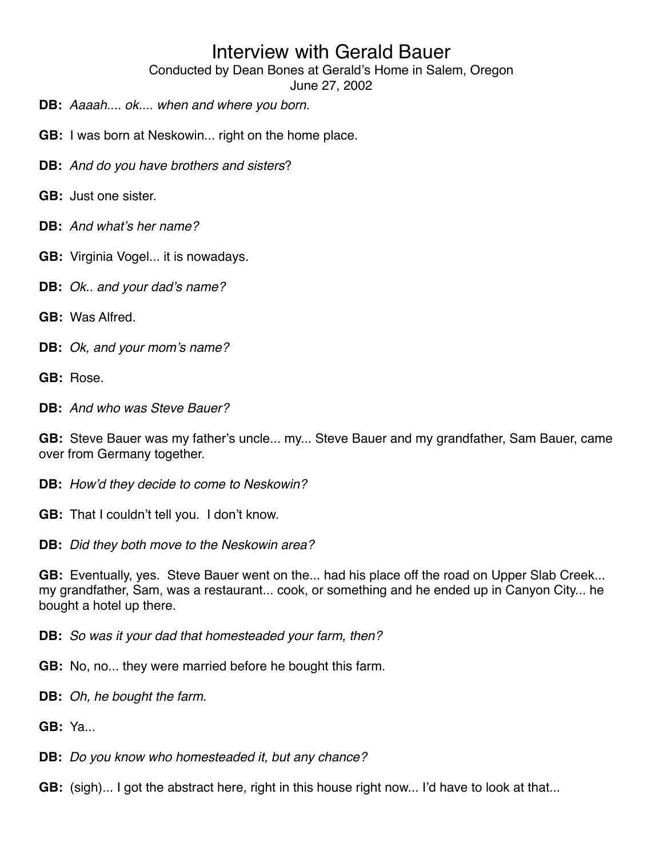Conducted by Dean Bones at Gerald's Home in Salem, Oregon

June 27, 2002

- **DB:** *Aaaah.... ok.... when and where you born.*
- **GB:** I was born at Neskowin... right on the home place.
- **DB:** *And do you have brothers and sisters*?
- **GB:** Just one sister.
- **DB:** *And what*'*s her name?*
- **GB:** Virginia Vogel... it is nowadays.
- **DB:** *Ok.. and your dad*'*s name?*
- **GB:** Was Alfred.
- **DB:** *Ok, and your mom*'*s name?*
- **GB:** Rose.
- **DB:** *And who was Steve Bauer?*

**GB:** Steve Bauer was my father's uncle... my... Steve Bauer and my grandfather, Sam Bauer, came over from Germany together.

**DB:** *How*'*d they decide to come to Neskowin?*

- **GB:** That I couldn't tell you. I don't know.
- **DB:** *Did they both move to the Neskowin area?*

**GB:** Eventually, yes. Steve Bauer went on the... had his place off the road on Upper Slab Creek... my grandfather, Sam, was a restaurant... cook, or something and he ended up in Canyon City... he bought a hotel up there.

**DB:** *So was it your dad that homesteaded your farm, then?*

**GB:** No, no... they were married before he bought this farm.

- **DB:** *Oh, he bought the farm.*
- **GB:** Ya...
- **DB:** *Do you know who homesteaded it, but any chance?*
- **GB:** (sigh)... I got the abstract here, right in this house right now... I'd have to look at that...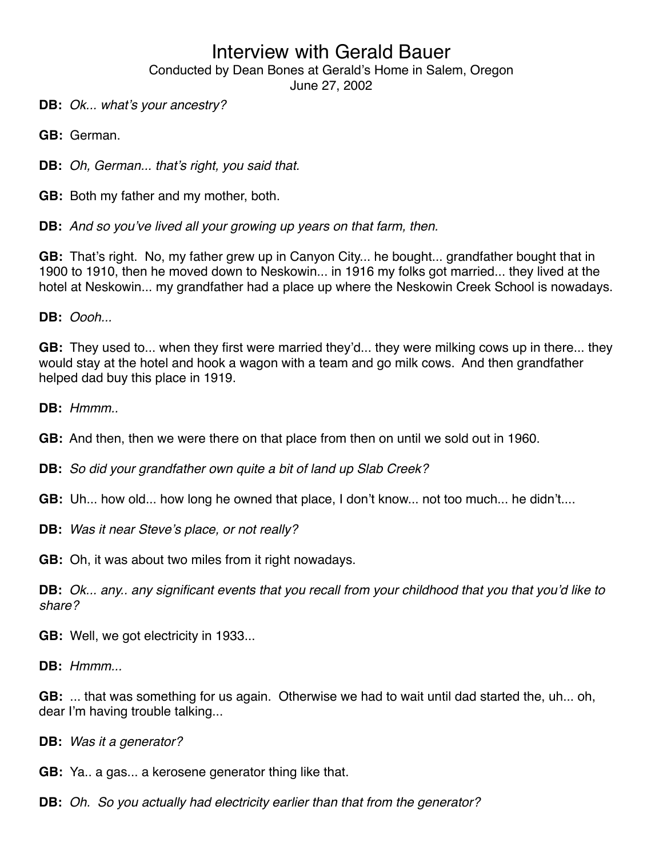Conducted by Dean Bones at Gerald's Home in Salem, Oregon

June 27, 2002

**DB:** *Ok... what*'*s your ancestry?*

**GB:** German.

**DB:** *Oh, German... that*'*s right, you said that.*

**GB:** Both my father and my mother, both.

**DB:** *And so you*'*ve lived all your growing up years on that farm, then.*

**GB:** That's right. No, my father grew up in Canyon City... he bought... grandfather bought that in 1900 to 1910, then he moved down to Neskowin... in 1916 my folks got married... they lived at the hotel at Neskowin... my grandfather had a place up where the Neskowin Creek School is nowadays.

**DB:** *Oooh...*

**GB:** They used to... when they first were married they'd... they were milking cows up in there... they would stay at the hotel and hook a wagon with a team and go milk cows. And then grandfather helped dad buy this place in 1919.

**DB:** *Hmmm..*

**GB:** And then, then we were there on that place from then on until we sold out in 1960.

**DB:** *So did your grandfather own quite a bit of land up Slab Creek?*

**GB:** Uh... how old... how long he owned that place, I don't know... not too much... he didn't....

**DB:** *Was it near Steve*'*s place, or not really?*

**GB:** Oh, it was about two miles from it right nowadays.

**DB:** *Ok... any.. any significant events that you recall from your childhood that you that you*'*d like to share?*

**GB:** Well, we got electricity in 1933...

**DB:** *Hmmm...*

**GB:** ... that was something for us again. Otherwise we had to wait until dad started the, uh... oh, dear I'm having trouble talking...

**DB:** *Was it a generator?*

**GB:** Ya.. a gas... a kerosene generator thing like that.

**DB:** *Oh. So you actually had electricity earlier than that from the generator?*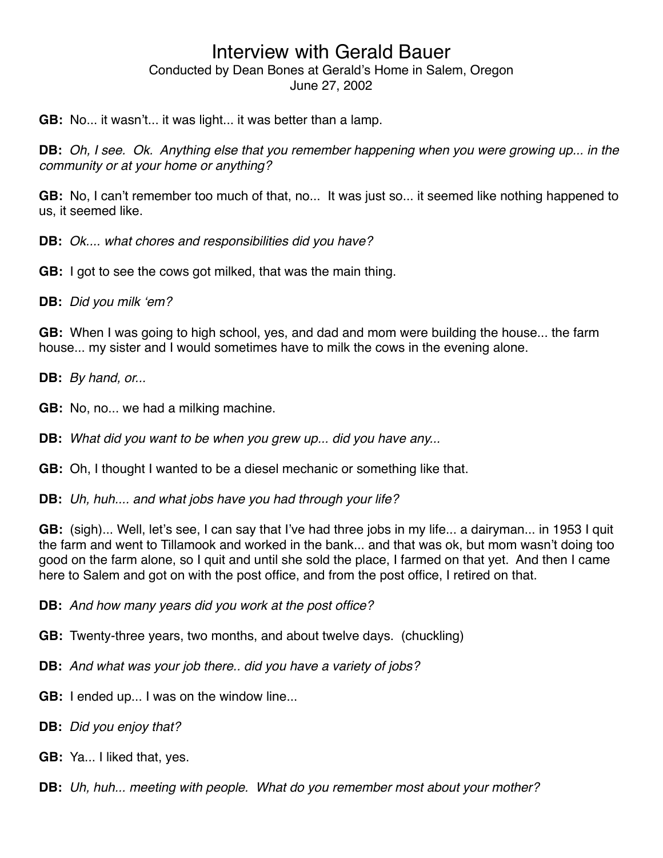**GB:** No... it wasn't... it was light... it was better than a lamp.

**DB:** *Oh, I see. Ok. Anything else that you remember happening when you were growing up... in the community or at your home or anything?*

**GB:** No, I can't remember too much of that, no... It was just so... it seemed like nothing happened to us, it seemed like.

**DB:** *Ok.... what chores and responsibilities did you have?*

**GB:** I got to see the cows got milked, that was the main thing.

**DB:** *Did you milk* ʻ*em?*

**GB:** When I was going to high school, yes, and dad and mom were building the house... the farm house... my sister and I would sometimes have to milk the cows in the evening alone.

**DB:** *By hand, or...*

**GB:** No, no... we had a milking machine.

**DB:** *What did you want to be when you grew up... did you have any...*

**GB:** Oh, I thought I wanted to be a diesel mechanic or something like that.

**DB:** *Uh, huh.... and what jobs have you had through your life?*

**GB:** (sigh)... Well, let's see, I can say that I've had three jobs in my life... a dairyman... in 1953 I quit the farm and went to Tillamook and worked in the bank... and that was ok, but mom wasn't doing too good on the farm alone, so I quit and until she sold the place, I farmed on that yet. And then I came here to Salem and got on with the post office, and from the post office, I retired on that.

**DB:** *And how many years did you work at the post office?*

**GB:** Twenty-three years, two months, and about twelve days. (chuckling)

**DB:** *And what was your job there.. did you have a variety of jobs?*

**GB:** I ended up... I was on the window line...

**DB:** *Did you enjoy that?*

**GB:** Ya... I liked that, yes.

**DB:** *Uh, huh... meeting with people. What do you remember most about your mother?*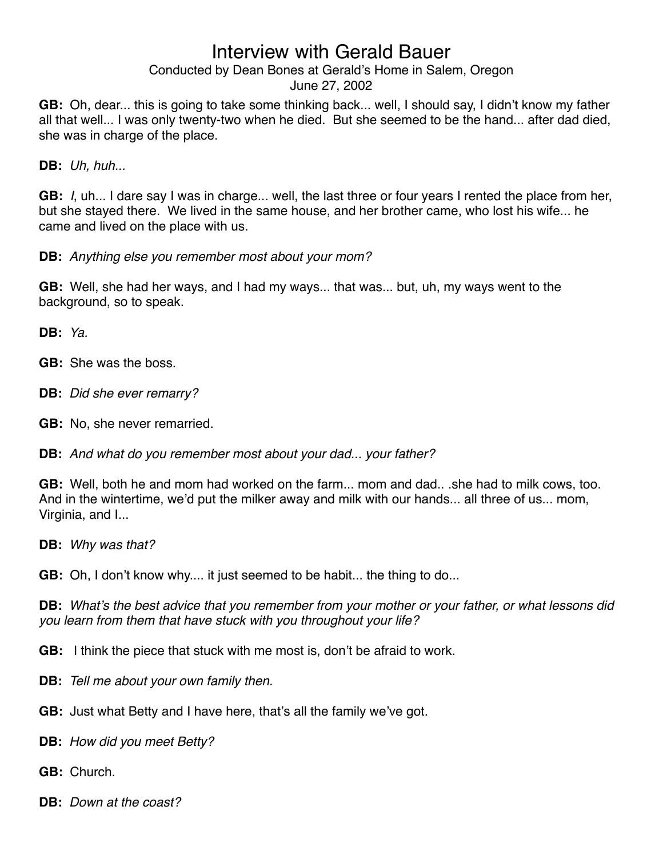#### Conducted by Dean Bones at Gerald's Home in Salem, Oregon

#### June 27, 2002

**GB:** Oh, dear... this is going to take some thinking back... well, I should say, I didn't know my father all that well... I was only twenty-two when he died. But she seemed to be the hand... after dad died, she was in charge of the place.

**DB:** *Uh, huh...*

**GB:** *I*, uh... I dare say I was in charge... well, the last three or four years I rented the place from her, but she stayed there. We lived in the same house, and her brother came, who lost his wife... he came and lived on the place with us.

**DB:** *Anything else you remember most about your mom?*

**GB:** Well, she had her ways, and I had my ways... that was... but, uh, my ways went to the background, so to speak.

**DB:** *Ya.*

- **GB:** She was the boss.
- **DB:** *Did she ever remarry?*
- **GB:** No, she never remarried.

**DB:** *And what do you remember most about your dad... your father?*

**GB:** Well, both he and mom had worked on the farm... mom and dad.. .she had to milk cows, too. And in the wintertime, we'd put the milker away and milk with our hands... all three of us... mom, Virginia, and I...

**DB:** *Why was that?*

**GB:** Oh, I don't know why.... it just seemed to be habit... the thing to do...

**DB:** *What*'*s the best advice that you remember from your mother or your father, or what lessons did you learn from them that have stuck with you throughout your life?*

**GB:** I think the piece that stuck with me most is, don't be afraid to work.

- **DB:** *Tell me about your own family then.*
- **GB:** Just what Betty and I have here, that's all the family we've got.
- **DB:** *How did you meet Betty?*
- **GB:** Church.
- **DB:** *Down at the coast?*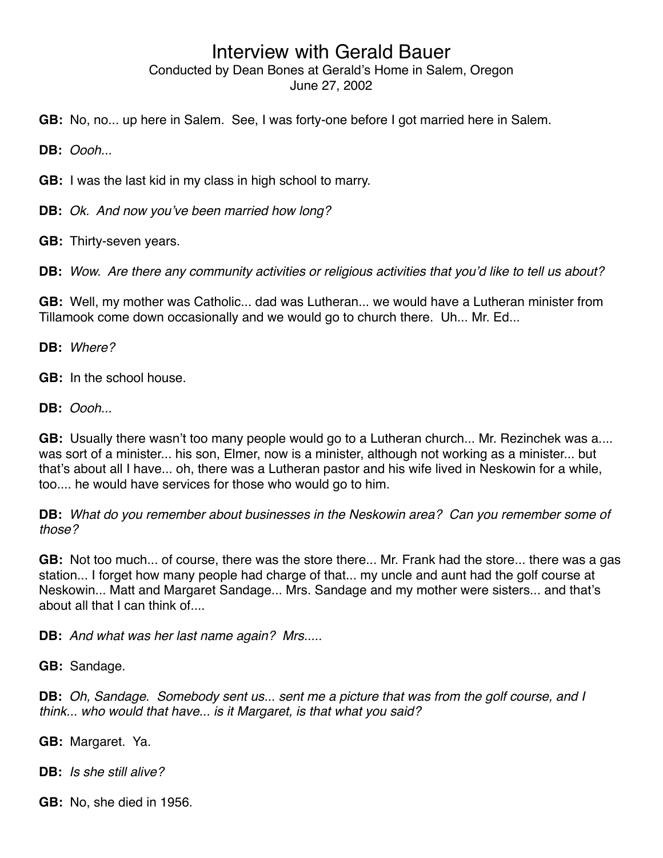**GB:** No, no... up here in Salem. See, I was forty-one before I got married here in Salem.

**DB:** *Oooh...*

**GB:** I was the last kid in my class in high school to marry.

**DB:** *Ok. And now you*'*ve been married how long?*

**GB:** Thirty-seven years.

**DB:** *Wow. Are there any community activities or religious activities that you*'*d like to tell us about?*

**GB:** Well, my mother was Catholic... dad was Lutheran... we would have a Lutheran minister from Tillamook come down occasionally and we would go to church there. Uh... Mr. Ed...

**DB:** *Where?*

**GB:** In the school house.

**DB:** *Oooh...*

**GB:** Usually there wasn't too many people would go to a Lutheran church... Mr. Rezinchek was a.... was sort of a minister... his son, Elmer, now is a minister, although not working as a minister... but that's about all I have... oh, there was a Lutheran pastor and his wife lived in Neskowin for a while, too.... he would have services for those who would go to him.

**DB:** *What do you remember about businesses in the Neskowin area? Can you remember some of those?*

**GB:** Not too much... of course, there was the store there... Mr. Frank had the store... there was a gas station... I forget how many people had charge of that... my uncle and aunt had the golf course at Neskowin... Matt and Margaret Sandage... Mrs. Sandage and my mother were sisters... and that's about all that I can think of....

**DB:** *And what was her last name again? Mrs.....*

**GB:** Sandage.

**DB:** *Oh, Sandage. Somebody sent us... sent me a picture that was from the golf course, and I think... who would that have... is it Margaret, is that what you said?*

**GB:** Margaret. Ya.

**DB:** *Is she still alive?*

**GB:** No, she died in 1956.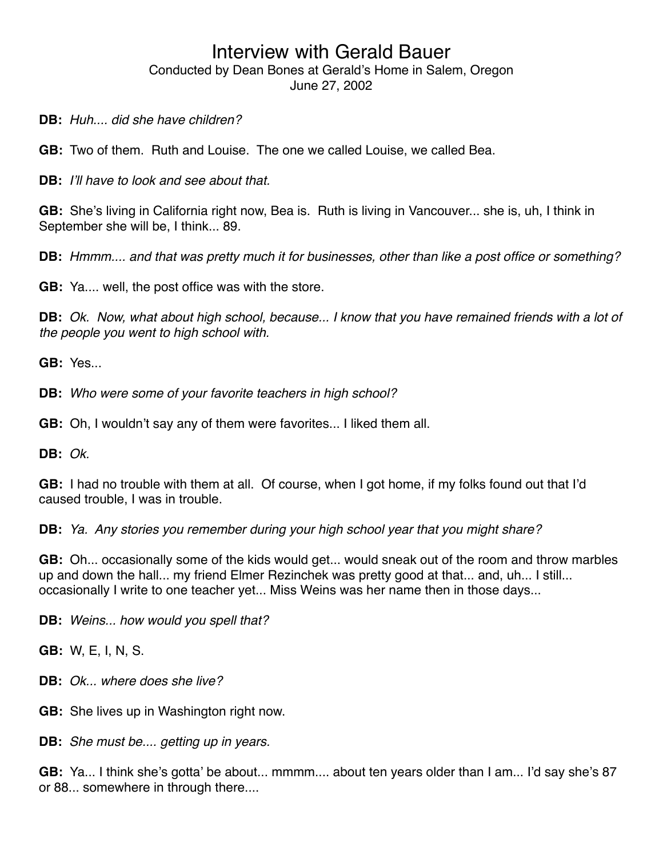**DB:** *Huh.... did she have children?*

**GB:** Two of them. Ruth and Louise. The one we called Louise, we called Bea.

**DB:** *I*'*ll have to look and see about that.*

**GB:** She's living in California right now, Bea is. Ruth is living in Vancouver... she is, uh, I think in September she will be, I think... 89.

**DB:** *Hmmm.... and that was pretty much it for businesses, other than like a post office or something?*

**GB:** Ya.... well, the post office was with the store.

**DB:** *Ok. Now, what about high school, because... I know that you have remained friends with a lot of the people you went to high school with.*

**GB:** Yes...

**DB:** *Who were some of your favorite teachers in high school?*

**GB:** Oh, I wouldn't say any of them were favorites... I liked them all.

**DB:** *Ok.*

**GB:** I had no trouble with them at all. Of course, when I got home, if my folks found out that I'd caused trouble, I was in trouble.

**DB:** *Ya. Any stories you remember during your high school year that you might share?*

**GB:** Oh... occasionally some of the kids would get... would sneak out of the room and throw marbles up and down the hall... my friend Elmer Rezinchek was pretty good at that... and, uh... I still... occasionally I write to one teacher yet... Miss Weins was her name then in those days...

**DB:** *Weins... how would you spell that?*

**GB:** W, E, I, N, S.

**DB:** *Ok... where does she live?*

**GB:** She lives up in Washington right now.

**DB:** *She must be.... getting up in years.*

**GB:** Ya... I think she's gotta' be about... mmmm.... about ten years older than I am... I'd say she's 87 or 88... somewhere in through there....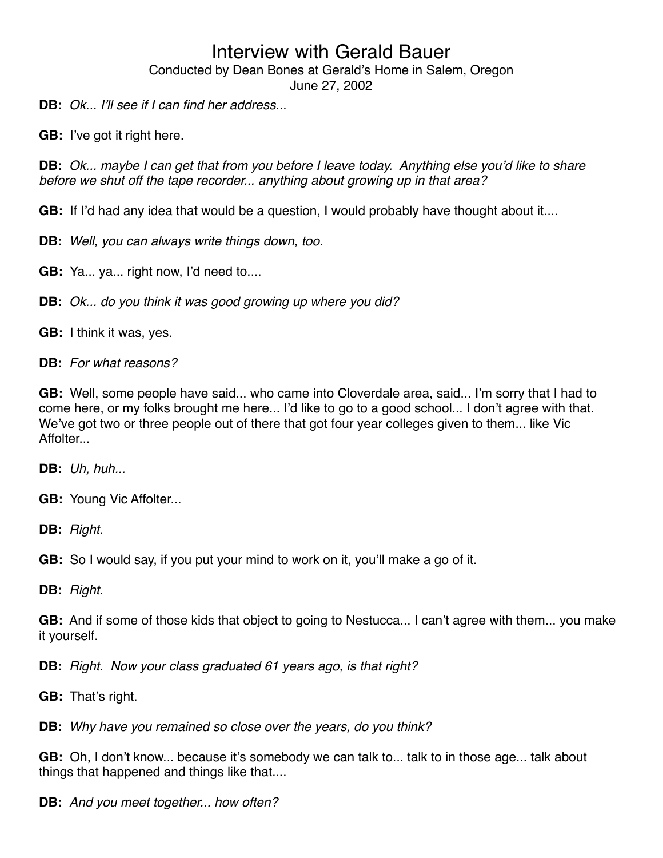Conducted by Dean Bones at Gerald's Home in Salem, Oregon

June 27, 2002

**DB:** *Ok... I*'*ll see if I can find her address...*

**GB:** I've got it right here.

**DB:** *Ok... maybe I can get that from you before I leave today. Anything else you*'*d like to share before we shut off the tape recorder... anything about growing up in that area?*

**GB:** If I'd had any idea that would be a question, I would probably have thought about it....

**DB:** *Well, you can always write things down, too.*

**GB:** Ya... ya... right now, I'd need to....

**DB:** *Ok... do you think it was good growing up where you did?*

**GB:** I think it was, yes.

**DB:** *For what reasons?*

**GB:** Well, some people have said... who came into Cloverdale area, said... I'm sorry that I had to come here, or my folks brought me here... I'd like to go to a good school... I don't agree with that. We've got two or three people out of there that got four year colleges given to them... like Vic Affolter...

**DB:** *Uh, huh...*

**GB:** Young Vic Affolter...

**DB:** *Right.*

**GB:** So I would say, if you put your mind to work on it, you'll make a go of it.

**DB:** *Right.*

**GB:** And if some of those kids that object to going to Nestucca... I can't agree with them... you make it yourself.

**DB:** *Right. Now your class graduated 61 years ago, is that right?*

**GB:** That's right.

**DB:** *Why have you remained so close over the years, do you think?*

**GB:** Oh, I don't know... because it's somebody we can talk to... talk to in those age... talk about things that happened and things like that....

**DB:** *And you meet together... how often?*